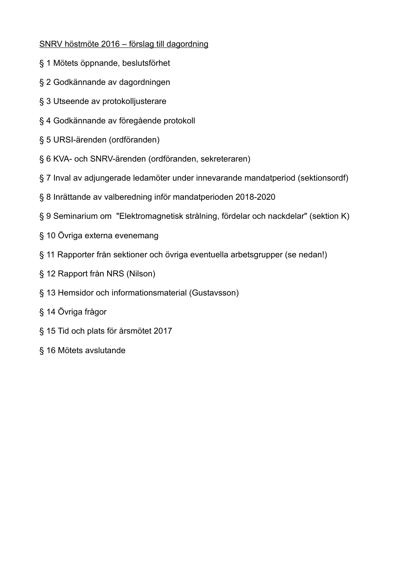## SNRV höstmöte 2016 – förslag till dagordning

- § 1 Mötets öppnande, beslutsförhet
- § 2 Godkännande av dagordningen
- § 3 Utseende av protokolljusterare
- § 4 Godkännande av föregående protokoll
- § 5 URSI-ärenden (ordföranden)
- § 6 KVA- och SNRV-ärenden (ordföranden, sekreteraren)
- § 7 Inval av adjungerade ledamöter under innevarande mandatperiod (sektionsordf)
- § 8 Inrättande av valberedning inför mandatperioden 2018-2020
- § 9 Seminarium om "Elektromagnetisk strålning, fördelar och nackdelar" (sektion K)
- § 10 Övriga externa evenemang
- § 11 Rapporter från sektioner och övriga eventuella arbetsgrupper (se nedan!)
- § 12 Rapport från NRS (Nilson)
- § 13 Hemsidor och informationsmaterial (Gustavsson)
- § 14 Övriga frågor
- § 15 Tid och plats för årsmötet 2017
- § 16 Mötets avslutande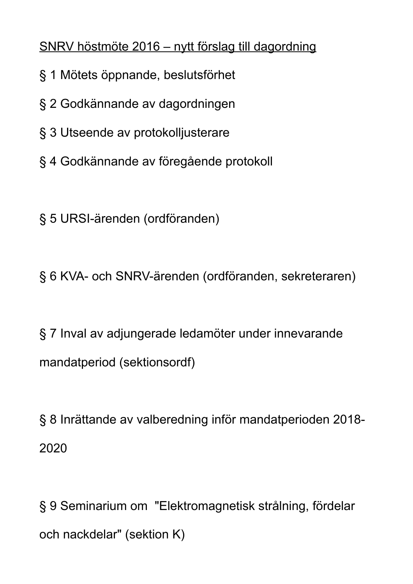SNRV höstmöte 2016 – nytt förslag till dagordning

- § 1 Mötets öppnande, beslutsförhet
- § 2 Godkännande av dagordningen
- § 3 Utseende av protokolljusterare
- § 4 Godkännande av föregående protokoll

§ 5 URSI-ärenden (ordföranden)

§ 6 KVA- och SNRV-ärenden (ordföranden, sekreteraren)

§ 7 Inval av adjungerade ledamöter under innevarande mandatperiod (sektionsordf)

§ 8 Inrättande av valberedning inför mandatperioden 2018- 2020

§ 9 Seminarium om "Elektromagnetisk strålning, fördelar och nackdelar" (sektion K)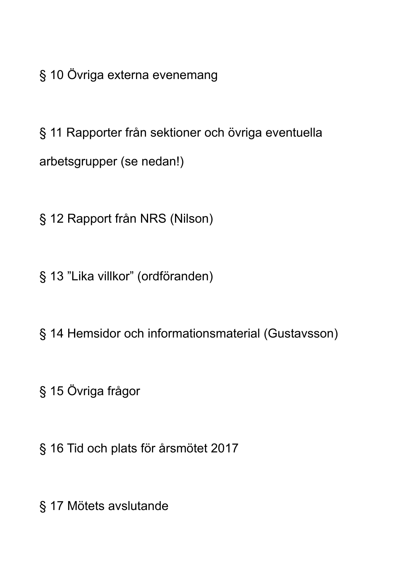§ 10 Övriga externa evenemang

§ 11 Rapporter från sektioner och övriga eventuella arbetsgrupper (se nedan!)

§ 12 Rapport från NRS (Nilson)

§ 13 "Lika villkor" (ordföranden)

§ 14 Hemsidor och informationsmaterial (Gustavsson)

§ 15 Övriga frågor

§ 16 Tid och plats för årsmötet 2017

§ 17 Mötets avslutande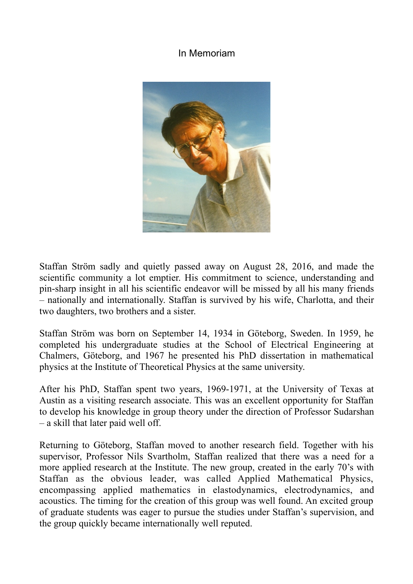# In Memoriam



Staffan Ström sadly and quietly passed away on August 28, 2016, and made the scientific community a lot emptier. His commitment to science, understanding and pin-sharp insight in all his scientific endeavor will be missed by all his many friends – nationally and internationally. Staffan is survived by his wife, Charlotta, and their two daughters, two brothers and a sister.

Staffan Ström was born on September 14, 1934 in Göteborg, Sweden. In 1959, he completed his undergraduate studies at the School of Electrical Engineering at Chalmers, Göteborg, and 1967 he presented his PhD dissertation in mathematical physics at the Institute of Theoretical Physics at the same university.

After his PhD, Staffan spent two years, 1969-1971, at the University of Texas at Austin as a visiting research associate. This was an excellent opportunity for Staffan to develop his knowledge in group theory under the direction of Professor Sudarshan – a skill that later paid well off.

Returning to Göteborg, Staffan moved to another research field. Together with his supervisor, Professor Nils Svartholm, Staffan realized that there was a need for a more applied research at the Institute. The new group, created in the early 70's with Staffan as the obvious leader, was called Applied Mathematical Physics, encompassing applied mathematics in elastodynamics, electrodynamics, and acoustics. The timing for the creation of this group was well found. An excited group of graduate students was eager to pursue the studies under Staffan's supervision, and the group quickly became internationally well reputed.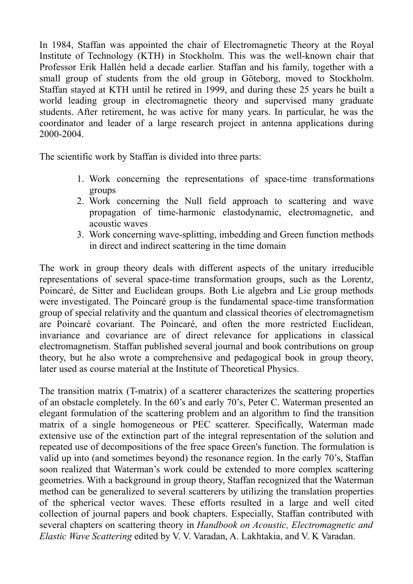In 1984, Staffan was appointed the chair of Electromagnetic Theory at the Royal Institute of Technology (KTH) in Stockholm. This was the well-known chair that Professor Erik Hallén held a decade earlier. Staffan and his family, together with a small group of students from the old group in Göteborg, moved to Stockholm. Staffan stayed at KTH until he retired in 1999, and during these 25 years he built a world leading group in electromagnetic theory and supervised many graduate students. After retirement, he was active for many years. In particular, he was the coordinator and leader of a large research project in antenna applications during 2000-2004.

The scientific work by Staffan is divided into three parts:

- 1. Work concerning the representations of space-time transformations groups
- 2. Work concerning the Null field approach to scattering and wave propagation of time-harmonic elastodynamic, electromagnetic, and acoustic waves
- 3. Work concerning wave-splitting, imbedding and Green function methods in direct and indirect scattering in the time domain

The work in group theory deals with different aspects of the unitary irreducible representations of several space-time transformation groups, such as the Lorentz, Poincaré, de Sitter and Euclidean groups. Both Lie algebra and Lie group methods were investigated. The Poincaré group is the fundamental space-time transformation group of special relativity and the quantum and classical theories of electromagnetism are Poincaré covariant. The Poincaré, and often the more restricted Euclidean, invariance and covariance are of direct relevance for applications in classical electromagnetism. Staffan published several journal and book contributions on group theory, but he also wrote a comprehensive and pedagogical book in group theory, later used as course material at the Institute of Theoretical Physics.

The transition matrix (T-matrix) of a scatterer characterizes the scattering properties of an obstacle completely. In the 60's and early 70's, Peter C. Waterman presented an elegant formulation of the scattering problem and an algorithm to find the transition matrix of a single homogeneous or PEC scatterer. Specifically, Waterman made extensive use of the extinction part of the integral representation of the solution and repeated use of decompositions of the free space Green's function. The formulation is valid up into (and sometimes beyond) the resonance region. In the early 70's, Staffan soon realized that Waterman's work could be extended to more complex scattering geometries. With a background in group theory, Staffan recognized that the Waterman method can be generalized to several scatterers by utilizing the translation properties of the spherical vector waves. These efforts resulted in a large and well cited collection of journal papers and book chapters. Especially, Staffan contributed with several chapters on scattering theory in *Handbook on Acoustic, Electromagnetic and Elastic Wave Scattering* edited by V. V. Varadan, A. Lakhtakia, and V. K Varadan.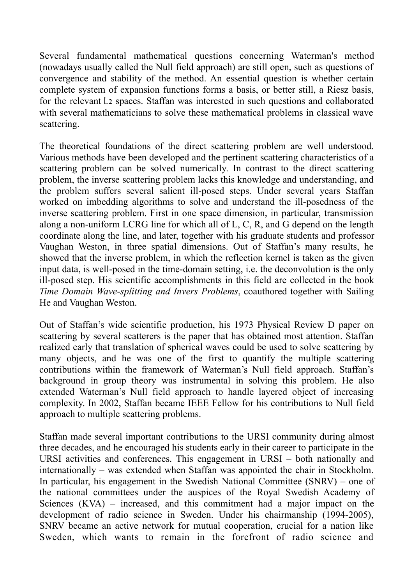Several fundamental mathematical questions concerning Waterman's method (nowadays usually called the Null field approach) are still open, such as questions of convergence and stability of the method. An essential question is whether certain complete system of expansion functions forms a basis, or better still, a Riesz basis, for the relevant L2 spaces. Staffan was interested in such questions and collaborated with several mathematicians to solve these mathematical problems in classical wave scattering.

The theoretical foundations of the direct scattering problem are well understood. Various methods have been developed and the pertinent scattering characteristics of a scattering problem can be solved numerically. In contrast to the direct scattering problem, the inverse scattering problem lacks this knowledge and understanding, and the problem suffers several salient ill-posed steps. Under several years Staffan worked on imbedding algorithms to solve and understand the ill-posedness of the inverse scattering problem. First in one space dimension, in particular, transmission along a non-uniform LCRG line for which all of L, C, R, and G depend on the length coordinate along the line, and later, together with his graduate students and professor Vaughan Weston, in three spatial dimensions. Out of Staffan's many results, he showed that the inverse problem, in which the reflection kernel is taken as the given input data, is well-posed in the time-domain setting, i.e. the deconvolution is the only ill-posed step. His scientific accomplishments in this field are collected in the book *Time Domain Wave-splitting and Invers Problems*, coauthored together with Sailing He and Vaughan Weston.

Out of Staffan's wide scientific production, his 1973 Physical Review D paper on scattering by several scatterers is the paper that has obtained most attention. Staffan realized early that translation of spherical waves could be used to solve scattering by many objects, and he was one of the first to quantify the multiple scattering contributions within the framework of Waterman's Null field approach. Staffan's background in group theory was instrumental in solving this problem. He also extended Waterman's Null field approach to handle layered object of increasing complexity. In 2002, Staffan became IEEE Fellow for his contributions to Null field approach to multiple scattering problems.

Staffan made several important contributions to the URSI community during almost three decades, and he encouraged his students early in their career to participate in the URSI activities and conferences. This engagement in URSI – both nationally and internationally – was extended when Staffan was appointed the chair in Stockholm. In particular, his engagement in the Swedish National Committee (SNRV) – one of the national committees under the auspices of the Royal Swedish Academy of Sciences (KVA) – increased, and this commitment had a major impact on the development of radio science in Sweden. Under his chairmanship (1994-2005), SNRV became an active network for mutual cooperation, crucial for a nation like Sweden, which wants to remain in the forefront of radio science and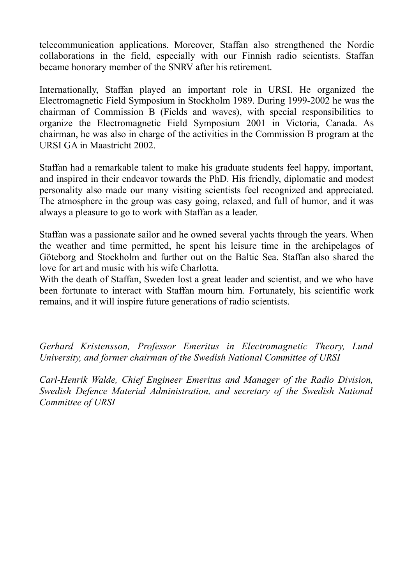telecommunication applications. Moreover, Staffan also strengthened the Nordic collaborations in the field, especially with our Finnish radio scientists. Staffan became honorary member of the SNRV after his retirement.

Internationally, Staffan played an important role in URSI. He organized the Electromagnetic Field Symposium in Stockholm 1989. During 1999-2002 he was the chairman of Commission B (Fields and waves), with special responsibilities to organize the Electromagnetic Field Symposium 2001 in Victoria, Canada. As chairman, he was also in charge of the activities in the Commission B program at the URSI GA in Maastricht 2002.

Staffan had a remarkable talent to make his graduate students feel happy, important, and inspired in their endeavor towards the PhD. His friendly, diplomatic and modest personality also made our many visiting scientists feel recognized and appreciated. The atmosphere in the group was easy going, relaxed, and full of humor*,* and it was always a pleasure to go to work with Staffan as a leader.

Staffan was a passionate sailor and he owned several yachts through the years. When the weather and time permitted, he spent his leisure time in the archipelagos of Göteborg and Stockholm and further out on the Baltic Sea. Staffan also shared the love for art and music with his wife Charlotta.

With the death of Staffan, Sweden lost a great leader and scientist, and we who have been fortunate to interact with Staffan mourn him. Fortunately, his scientific work remains, and it will inspire future generations of radio scientists.

*Gerhard Kristensson, Professor Emeritus in Electromagnetic Theory, Lund University, and former chairman of the Swedish National Committee of URSI*

*Carl-Henrik Walde, Chief Engineer Emeritus and Manager of the Radio Division, Swedish Defence Material Administration, and secretary of the Swedish National Committee of URSI*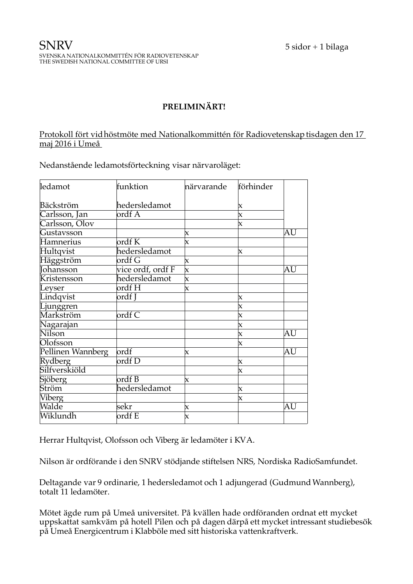# **PRELIMINÄRT!**

### Protokoll fört vid höstmöte med Nationalkommittén för Radiovetenskap tisdagen den 17 maj 2016 i Umeå

Nedanstående ledamotsförteckning visar närvaroläget:

| ledamot           | funktion                   | närvarande                | förhinder                 |    |
|-------------------|----------------------------|---------------------------|---------------------------|----|
| Bäckström         | hedersledamot              |                           | X                         |    |
| Carlsson, Jan     | ordf A                     |                           | $\boldsymbol{\mathsf{x}}$ |    |
| Carlsson, Olov    |                            |                           | X                         |    |
| Gustavsson        |                            | X                         |                           | AU |
| Hamnerius         | $\overline{\text{ordf K}}$ | $\boldsymbol{\mathsf{x}}$ |                           |    |
| Hultqvist         | hedersledamot              |                           | $\boldsymbol{\mathsf{x}}$ |    |
| Häggström         | ordf G                     | $\boldsymbol{\mathsf{x}}$ |                           |    |
| Johansson         | vice ordf, ordf F          | $\mathsf{\overline{x}}$   |                           | AU |
| Kristensson       | hedersledamot              | $\pmb{\times}$            |                           |    |
| Leyser            | ordf H                     | $\boldsymbol{\mathsf{x}}$ |                           |    |
| Lindqvist         | ordf J                     |                           | X                         |    |
| Ljunggren         |                            |                           | $\boldsymbol{\mathsf{x}}$ |    |
| Markström         | $\overline{\text{ordf C}}$ |                           | $\boldsymbol{\mathsf{x}}$ |    |
| Nagarajan         |                            |                           | $\boldsymbol{\mathsf{x}}$ |    |
| <b>Nilson</b>     |                            |                           | $\boldsymbol{\mathsf{x}}$ | AU |
| Olofsson          |                            |                           | $\boldsymbol{\mathsf{x}}$ |    |
| Pellinen Wannberg | $\overline{\text{ordf}}$   | X                         |                           | AU |
| Rydberg           | ordf D                     |                           | $\boldsymbol{\mathsf{x}}$ |    |
| Silfverskiöld     |                            |                           | $\boldsymbol{\mathsf{x}}$ |    |
| Sjöberg           | ordf B                     | $\boldsymbol{\mathsf{X}}$ |                           |    |
| Ström             | hedersledamot              |                           | $\boldsymbol{\mathsf{x}}$ |    |
| <b>Viberg</b>     |                            |                           | X                         |    |
| Walde             | sekr                       | X                         |                           | AU |
| Wiklundh          | ordf E                     | IX.                       |                           |    |

Herrar Hultqvist, Olofsson och Viberg är ledamöter i KVA.

Nilson är ordförande i den SNRV stödjande stiftelsen NRS, Nordiska RadioSamfundet.

Deltagande var 9 ordinarie, 1 hedersledamot och 1 adjungerad (Gudmund Wannberg), totalt 11 ledamöter.

Mötet ägde rum på Umeå universitet. På kvällen hade ordföranden ordnat ett mycket uppskattat samkväm på hotell Pilen och på dagen därpå ett mycket intressant studiebesök på Umeå Energicentrum i Klabböle med sitt historiska vattenkraftverk.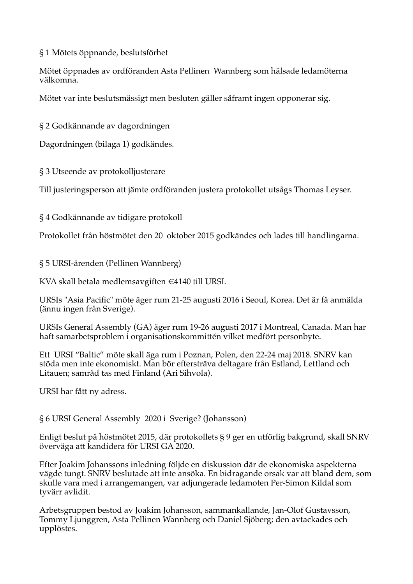## § 1 Mötets öppnande, beslutsförhet

Mötet öppnades av ordföranden Asta Pellinen Wannberg som hälsade ledamöterna välkomna.

Mötet var inte beslutsmässigt men besluten gäller såframt ingen opponerar sig.

§ 2 Godkännande av dagordningen

Dagordningen (bilaga 1) godkändes.

§ 3 Utseende av protokolljusterare

Till justeringsperson att jämte ordföranden justera protokollet utsågs Thomas Leyser.

§ 4 Godkännande av tidigare protokoll

Protokollet från höstmötet den 20 oktober 2015 godkändes och lades till handlingarna.

§ 5 URSI-ärenden (Pellinen Wannberg)

KVA skall betala medlemsavgiften €4140 till URSI.

URSIs "Asia Pacifc" möte äger rum 21-25 augusti 2016 i Seoul, Korea. Det är få anmälda (ännu ingen från Sverige).

URSIs General Assembly (GA) äger rum 19-26 augusti 2017 i Montreal, Canada. Man har haft samarbetsproblem i organisationskommittén vilket medfört personbyte.

Ett URSI "Baltic" möte skall äga rum i Poznan, Polen, den 22-24 maj 2018. SNRV kan stöda men inte ekonomiskt. Man bör eftersträva deltagare från Estland, Lettland och Litauen; samråd tas med Finland (Ari Sihvola).

URSI har fått ny adress.

§ 6 URSI General Assembly 2020 i Sverige? (Johansson)

Enligt beslut på höstmötet 2015, där protokollets § 9 ger en utförlig bakgrund, skall SNRV överväga att kandidera för URSI GA 2020.

Efter Joakim Johanssons inledning följde en diskussion där de ekonomiska aspekterna vägde tungt. SNRV beslutade att inte ansöka. En bidragande orsak var att bland dem, som skulle vara med i arrangemangen, var adjungerade ledamoten Per-Simon Kildal som tyvärr avlidit.

Arbetsgruppen bestod av Joakim Johansson, sammankallande, Jan-Olof Gustavsson, Tommy Ljunggren, Asta Pellinen Wannberg och Daniel Sjöberg; den avtackades och upplöstes.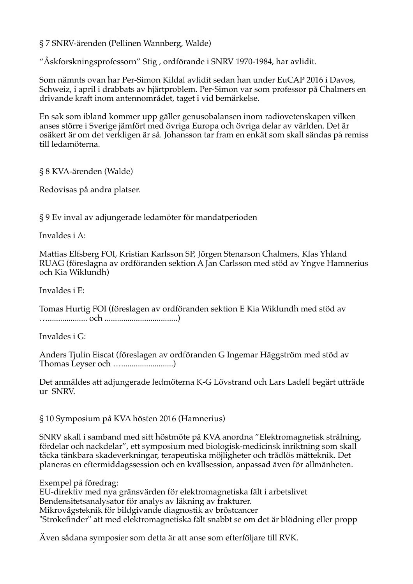§ 7 SNRV-ärenden (Pellinen Wannberg, Walde)

"Åskforskningsprofessorn" Stig , ordförande i SNRV 1970-1984, har avlidit.

Som nämnts ovan har Per-Simon Kildal avlidit sedan han under EuCAP 2016 i Davos, Schweiz, i april i drabbats av hjärtproblem. Per-Simon var som professor på Chalmers en drivande kraft inom antennområdet, taget i vid bemärkelse.

En sak som ibland kommer upp gäller genusobalansen inom radiovetenskapen vilken anses större i Sverige jämfört med övriga Europa och övriga delar av världen. Det är osäkert är om det verkligen är så. Johansson tar fram en enkät som skall sändas på remiss till ledamöterna.

§ 8 KVA-ärenden (Walde)

Redovisas på andra platser.

§ 9 Ev inval av adjungerade ledamöter för mandatperioden

Invaldes i A:

Mattias Elfsberg FOI, Kristian Karlsson SP, Jörgen Stenarson Chalmers, Klas Yhland RUAG (föreslagna av ordföranden sektion A Jan Carlsson med stöd av Yngve Hamnerius och Kia Wiklundh)

Invaldes i E:

Tomas Hurtig FOI (föreslagen av ordföranden sektion E Kia Wiklundh med stöd av …................... och ...................................)

Invaldes i G:

Anders Tjulin Eiscat (föreslagen av ordföranden G Ingemar Häggström med stöd av Thomas Leyser och ….........................)

Det anmäldes att adjungerade ledmöterna K-G Lövstrand och Lars Ladell begärt utträde ur SNRV.

### § 10 Symposium på KVA hösten 2016 (Hamnerius)

SNRV skall i samband med sitt höstmöte på KVA anordna "Elektromagnetisk strålning, fördelar och nackdelar", ett symposium med biologisk-medicinsk inriktning som skall täcka tänkbara skadeverkningar, terapeutiska möjligheter och trådlös mätteknik. Det planeras en eftermiddagssession och en kvällsession, anpassad även för allmänheten.

Exempel på föredrag: EU-direktiv med nya gränsvärden för elektromagnetiska fält i arbetslivet Bendensitetsanalysator för analys av läkning av frakturer. Mikrovågsteknik för bildgivande diagnostik av bröstcancer "Strokefnder" att med elektromagnetiska fält snabbt se om det är blödning eller propp

Även sådana symposier som detta är att anse som efterföljare till RVK.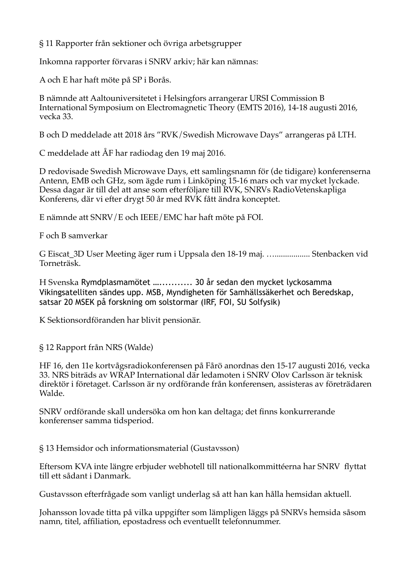§ 11 Rapporter från sektioner och övriga arbetsgrupper

Inkomna rapporter förvaras i SNRV arkiv; här kan nämnas:

A och E har haft möte på SP i Borås.

B nämnde att Aaltouniversitetet i Helsingfors arrangerar URSI Commission B International Symposium on Electromagnetic Theory (EMTS 2016), 14-18 augusti 2016, vecka 33.

B och D meddelade att 2018 års "RVK/Swedish Microwave Days" arrangeras på LTH.

C meddelade att ÅF har radiodag den 19 maj 2016.

D redovisade Swedish Microwave Days, ett samlingsnamn för (de tidigare) konferenserna Antenn, EMB och GHz, som ägde rum i Linköping 15-16 mars och var mycket lyckade. Dessa dagar är till del att anse som efterföljare till RVK, SNRVs RadioVetenskapliga Konferens, där vi efter drygt 50 år med RVK fått ändra konceptet.

E nämnde att SNRV/E och IEEE/EMC har haft möte på FOI.

F och B samverkar

G Eiscat\_3D User Meeting äger rum i Uppsala den 18-19 maj. …................. Stenbacken vid Torneträsk.

H Svenska Rymdplasmamötet …........... 30 år sedan den mycket lyckosamma Vikingsatelliten sändes upp. MSB, Myndigheten för Samhällssäkerhet och Beredskap, satsar 20 MSEK på forskning om solstormar (IRF, FOI, SU Solfysik)

K Sektionsordföranden har blivit pensionär.

§ 12 Rapport från NRS (Walde)

HF 16, den 11e kortvågsradiokonferensen på Fårö anordnas den 15-17 augusti 2016, vecka 33. NRS biträds av WRAP International där ledamoten i SNRV Olov Carlsson är teknisk direktör i företaget. Carlsson är ny ordförande från konferensen, assisteras av företrädaren Walde.

SNRV ordförande skall undersöka om hon kan deltaga; det fnns konkurrerande konferenser samma tidsperiod.

§ 13 Hemsidor och informationsmaterial (Gustavsson)

Eftersom KVA inte längre erbjuder webhotell till nationalkommittéerna har SNRV fyttat till ett sådant i Danmark.

Gustavsson efterfrågade som vanligt underlag så att han kan hålla hemsidan aktuell.

Johansson lovade titta på vilka uppgifter som lämpligen läggs på SNRVs hemsida såsom namn, titel, affliation, epostadress och eventuellt telefonnummer.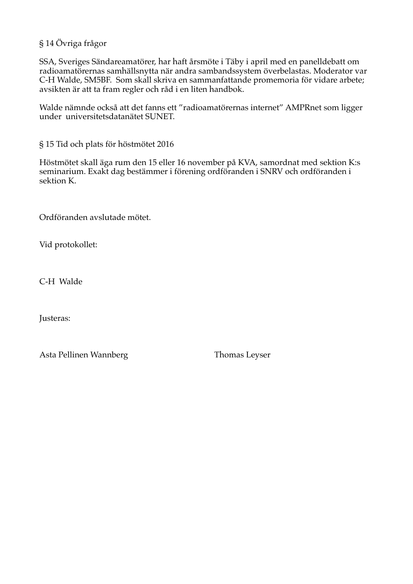## § 14 Övriga frågor

SSA, Sveriges Sändareamatörer, har haft årsmöte i Täby i april med en panelldebatt om radioamatörernas samhällsnytta när andra sambandssystem överbelastas. Moderator var C-H Walde, SM5BF. Som skall skriva en sammanfattande promemoria för vidare arbete; avsikten är att ta fram regler och råd i en liten handbok.

Walde nämnde också att det fanns ett "radioamatörernas internet" AMPRnet som ligger under universitetsdatanätet SUNET.

§ 15 Tid och plats för höstmötet 2016

Höstmötet skall äga rum den 15 eller 16 november på KVA, samordnat med sektion K:s seminarium. Exakt dag bestämmer i förening ordföranden i SNRV och ordföranden i sektion K.

Ordföranden avslutade mötet.

Vid protokollet:

C-H Walde

Justeras:

Asta Pellinen Wannberg Thomas Leyser